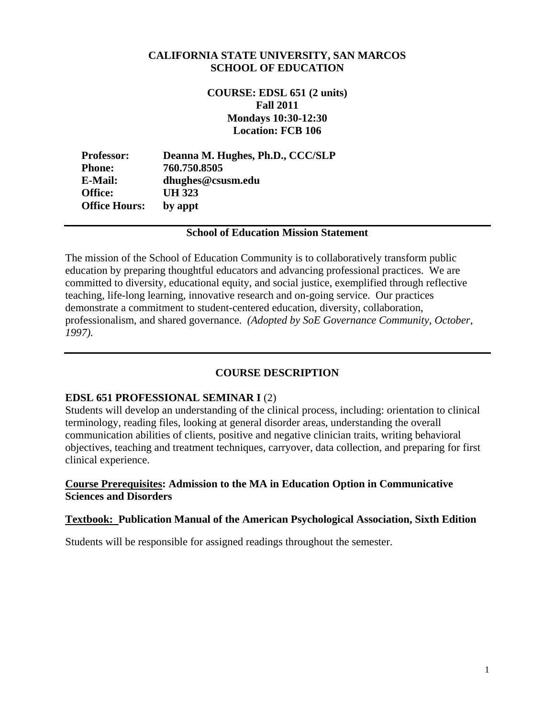#### **CALIFORNIA STATE UNIVERSITY, SAN MARCOS SCHOOL OF EDUCATION**

**COURSE: EDSL 651 (2 units) Fall 2011 Mondays 10:30-12:30 Location: FCB 106** 

**Professor: Deanna M. Hughes, Ph.D., CCC/SLP Phone: 760.750.8505 E-Mail: dhughes@csusm.edu Office: UH 323 Office Hours: by appt** 

#### **School of Education Mission Statement**

The mission of the School of Education Community is to collaboratively transform public education by preparing thoughtful educators and advancing professional practices. We are committed to diversity, educational equity, and social justice, exemplified through reflective teaching, life-long learning, innovative research and on-going service. Our practices demonstrate a commitment to student-centered education, diversity, collaboration, professionalism, and shared governance. *(Adopted by SoE Governance Community, October, 1997).* 

#### **COURSE DESCRIPTION**

#### **EDSL 651 PROFESSIONAL SEMINAR I** (2)

Students will develop an understanding of the clinical process, including: orientation to clinical terminology, reading files, looking at general disorder areas, understanding the overall communication abilities of clients, positive and negative clinician traits, writing behavioral objectives, teaching and treatment techniques, carryover, data collection, and preparing for first clinical experience.

#### **Course Prerequisites: Admission to the MA in Education Option in Communicative Sciences and Disorders**

#### **Textbook: Publication Manual of the American Psychological Association, Sixth Edition**

Students will be responsible for assigned readings throughout the semester.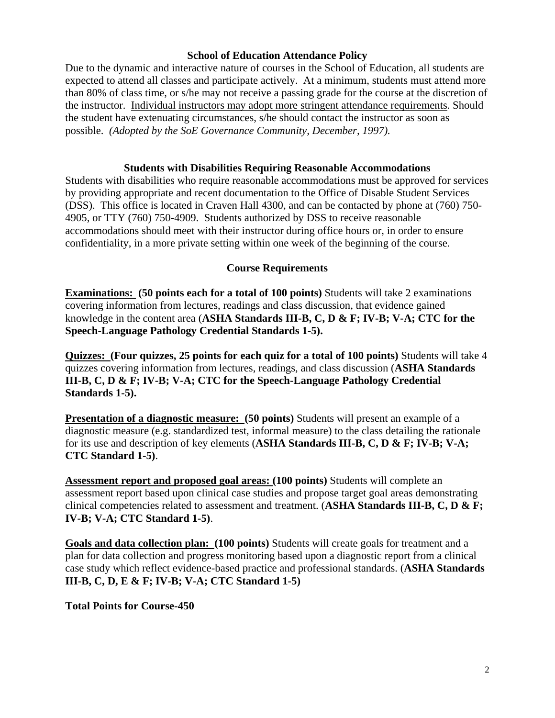### **School of Education Attendance Policy**

 possible. *(Adopted by the SoE Governance Community, December, 1997).* Due to the dynamic and interactive nature of courses in the School of Education, all students are expected to attend all classes and participate actively. At a minimum, students must attend more than 80% of class time, or s/he may not receive a passing grade for the course at the discretion of the instructor. Individual instructors may adopt more stringent attendance requirements. Should the student have extenuating circumstances, s/he should contact the instructor as soon as

#### **Students with Disabilities Requiring Reasonable Accommodations**

Students with disabilities who require reasonable accommodations must be approved for services by providing appropriate and recent documentation to the Office of Disable Student Services (DSS). This office is located in Craven Hall 4300, and can be contacted by phone at (760) 750- 4905, or TTY (760) 750-4909. Students authorized by DSS to receive reasonable accommodations should meet with their instructor during office hours or, in order to ensure confidentiality, in a more private setting within one week of the beginning of the course.

### **Course Requirements**

Speech-Language Pathology Credential Standards 1-5). **Examinations: (50 points each for a total of 100 points)** Students will take 2 examinations covering information from lectures, readings and class discussion, that evidence gained knowledge in the content area (**ASHA Standards III-B, C, D & F; IV-B; V-A; CTC for the** 

Standards 1-5). **Ouizzes: (Four quizzes, 25 points for each quiz for a total of 100 points)** Students will take 4 quizzes covering information from lectures, readings, and class discussion (**ASHA Standards III-B, C, D & F; IV-B; V-A; CTC for the Speech-Language Pathology Credential** 

**Presentation of a diagnostic measure: (50 points)** Students will present an example of a diagnostic measure (e.g. standardized test, informal measure) to the class detailing the rationale for its use and description of key elements (**ASHA Standards III-B, C, D & F; IV-B; V-A; CTC Standard 1-5)**.

**Assessment report and proposed goal areas: (100 points)** Students will complete an assessment report based upon clinical case studies and propose target goal areas demonstrating clinical competencies related to assessment and treatment. (**ASHA Standards III-B, C, D & F; IV-B; V-A; CTC Standard 1-5)**.

**Goals and data collection plan: (100 points)** Students will create goals for treatment and a plan for data collection and progress monitoring based upon a diagnostic report from a clinical case study which reflect evidence-based practice and professional standards. (**ASHA Standards III-B, C, D, E & F; IV-B; V-A; CTC Standard 1-5)** 

**Total Points for Course-450**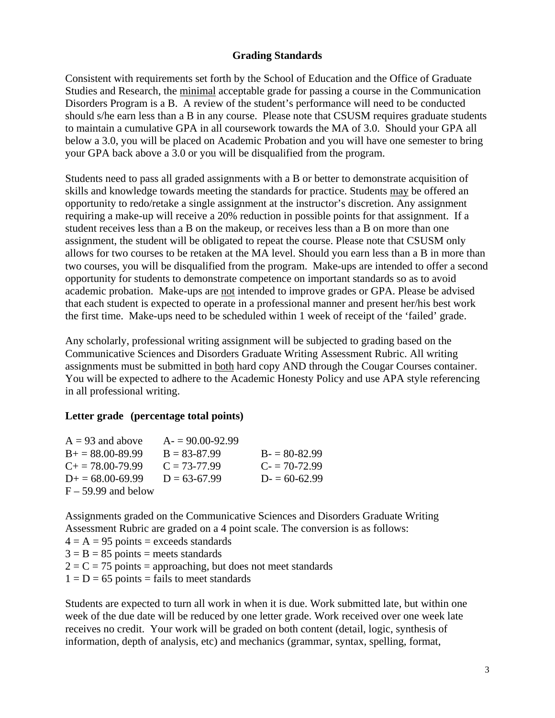### **Grading Standards**

Consistent with requirements set forth by the School of Education and the Office of Graduate Studies and Research, the minimal acceptable grade for passing a course in the Communication Disorders Program is a B. A review of the student's performance will need to be conducted should s/he earn less than a B in any course. Please note that CSUSM requires graduate students to maintain a cumulative GPA in all coursework towards the MA of 3.0. Should your GPA all below a 3.0, you will be placed on Academic Probation and you will have one semester to bring your GPA back above a 3.0 or you will be disqualified from the program.

Students need to pass all graded assignments with a B or better to demonstrate acquisition of skills and knowledge towards meeting the standards for practice. Students may be offered an opportunity to redo/retake a single assignment at the instructor's discretion. Any assignment requiring a make-up will receive a 20% reduction in possible points for that assignment. If a student receives less than a B on the makeup, or receives less than a B on more than one assignment, the student will be obligated to repeat the course. Please note that CSUSM only allows for two courses to be retaken at the MA level. Should you earn less than a B in more than two courses, you will be disqualified from the program. Make-ups are intended to offer a second opportunity for students to demonstrate competence on important standards so as to avoid academic probation. Make-ups are not intended to improve grades or GPA. Please be advised that each student is expected to operate in a professional manner and present her/his best work the first time. Make-ups need to be scheduled within 1 week of receipt of the 'failed' grade.

Any scholarly, professional writing assignment will be subjected to grading based on the Communicative Sciences and Disorders Graduate Writing Assessment Rubric. All writing assignments must be submitted in both hard copy AND through the Cougar Courses container. You will be expected to adhere to the Academic Honesty Policy and use APA style referencing in all professional writing.

## **Letter grade (percentage total points)**

| $A = 93$ and above        | $A = 90.00 - 92.99$ |                |
|---------------------------|---------------------|----------------|
| $B_+ = 88.00 - 89.99$     | $B = 83 - 87.99$    | $B = 80-82.99$ |
| $C_{\pm} = 78.00 - 79.99$ | $C = 73-77.99$      | $C = 70-72.99$ |
| $D_{\pm} = 68.00 - 69.99$ | $D = 63-67.99$      | $D = 60-62.99$ |
| $F - 59.99$ and below     |                     |                |

Assignments graded on the Communicative Sciences and Disorders Graduate Writing Assessment Rubric are graded on a 4 point scale. The conversion is as follows:

- $4 = A = 95$  points = exceeds standards
- $3 = B = 85$  points = meets standards

 $2 = C = 75$  points = approaching, but does not meet standards

 $1 = D = 65$  points = fails to meet standards

Students are expected to turn all work in when it is due. Work submitted late, but within one week of the due date will be reduced by one letter grade. Work received over one week late receives no credit. Your work will be graded on both content (detail, logic, synthesis of information, depth of analysis, etc) and mechanics (grammar, syntax, spelling, format,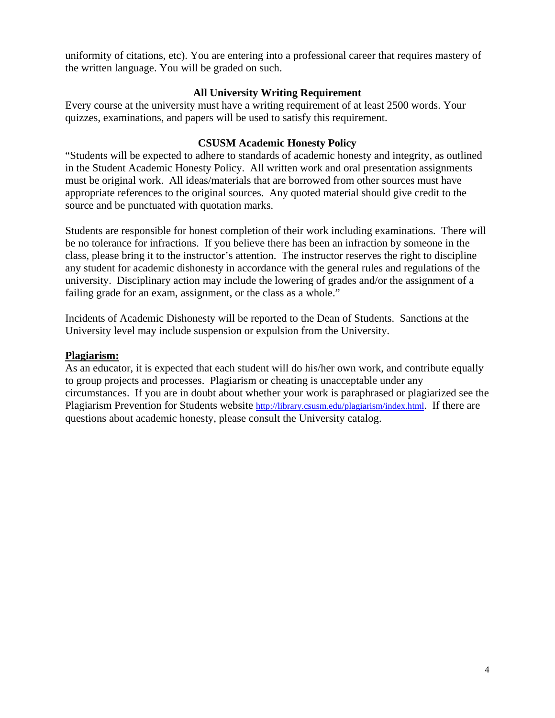the written language. You will be graded on such. uniformity of citations, etc). You are entering into a professional career that requires mastery of

### **All University Writing Requirement**

Every course at the university must have a writing requirement of at least 2500 words. Your quizzes, examinations, and papers will be used to satisfy this requirement.

### **CSUSM Academic Honesty Policy**

"Students will be expected to adhere to standards of academic honesty and integrity, as outlined in the Student Academic Honesty Policy. All written work and oral presentation assignments must be original work. All ideas/materials that are borrowed from other sources must have appropriate references to the original sources. Any quoted material should give credit to the source and be punctuated with quotation marks.

Students are responsible for honest completion of their work including examinations. There will be no tolerance for infractions. If you believe there has been an infraction by someone in the class, please bring it to the instructor's attention. The instructor reserves the right to discipline any student for academic dishonesty in accordance with the general rules and regulations of the university. Disciplinary action may include the lowering of grades and/or the assignment of a failing grade for an exam, assignment, or the class as a whole."

Incidents of Academic Dishonesty will be reported to the Dean of Students. Sanctions at the University level may include suspension or expulsion from the University.

### **Plagiarism:**

As an educator, it is expected that each student will do his/her own work, and contribute equally to group projects and processes. Plagiarism or cheating is unacceptable under any circumstances. If you are in doubt about whether your work is paraphrased or plagiarized see the Plagiarism Prevention for Students website http://library.csusm.edu/plagiarism/index.html. If there are questions about academic honesty, please consult the University catalog.